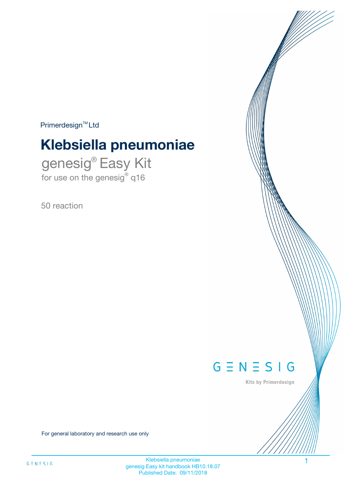$Primerdesign^{\text{TM}}Ltd$ 

# **Klebsiella pneumoniae**

genesig® Easy Kit for use on the genesig® q16

50 reaction



Kits by Primerdesign

For general laboratory and research use only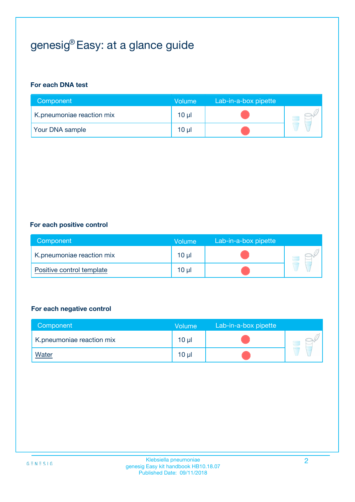# genesig® Easy: at a glance guide

#### **For each DNA test**

| Component                 | <b>Volume</b> | Lab-in-a-box pipette |  |
|---------------------------|---------------|----------------------|--|
| K.pneumoniae reaction mix | $10 \mu$      |                      |  |
| <b>Your DNA sample</b>    | 10 µl         |                      |  |

#### **For each positive control**

| Component                 | Volume          | Lab-in-a-box pipette |  |
|---------------------------|-----------------|----------------------|--|
| K.pneumoniae reaction mix | 10 <sub>µ</sub> |                      |  |
| Positive control template | $10 \mu$        |                      |  |

#### **For each negative control**

| Component                 | <b>Volume</b>   | Lab-in-a-box pipette |  |
|---------------------------|-----------------|----------------------|--|
| K.pneumoniae reaction mix | $10 \mu$        |                      |  |
| <u>Water</u>              | 10 <sub>µ</sub> |                      |  |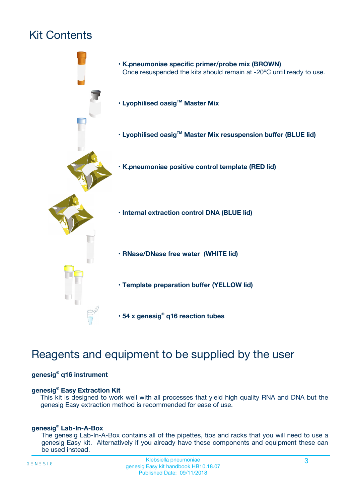# Kit Contents



# Reagents and equipment to be supplied by the user

#### **genesig® q16 instrument**

#### **genesig® Easy Extraction Kit**

This kit is designed to work well with all processes that yield high quality RNA and DNA but the genesig Easy extraction method is recommended for ease of use.

#### **genesig® Lab-In-A-Box**

The genesig Lab-In-A-Box contains all of the pipettes, tips and racks that you will need to use a genesig Easy kit. Alternatively if you already have these components and equipment these can be used instead.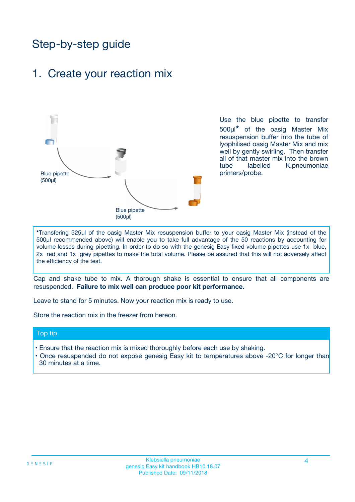# Step-by-step guide

### 1. Create your reaction mix



Use the blue pipette to transfer 500µl**\*** of the oasig Master Mix resuspension buffer into the tube of lyophilised oasig Master Mix and mix well by gently swirling. Then transfer all of that master mix into the brown tube labelled K.pneumoniae primers/probe.

**\***Transfering 525µl of the oasig Master Mix resuspension buffer to your oasig Master Mix (instead of the 500µl recommended above) will enable you to take full advantage of the 50 reactions by accounting for volume losses during pipetting. In order to do so with the genesig Easy fixed volume pipettes use 1x blue, 2x red and 1x grey pipettes to make the total volume. Please be assured that this will not adversely affect the efficiency of the test.

Cap and shake tube to mix. A thorough shake is essential to ensure that all components are resuspended. **Failure to mix well can produce poor kit performance.**

Leave to stand for 5 minutes. Now your reaction mix is ready to use.

Store the reaction mix in the freezer from hereon.

#### Top tip

- Ensure that the reaction mix is mixed thoroughly before each use by shaking.
- **•** Once resuspended do not expose genesig Easy kit to temperatures above -20°C for longer than 30 minutes at a time.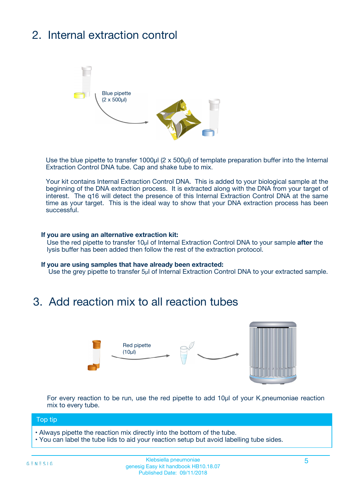# 2. Internal extraction control



Use the blue pipette to transfer 1000µl (2 x 500µl) of template preparation buffer into the Internal Extraction Control DNA tube. Cap and shake tube to mix.

Your kit contains Internal Extraction Control DNA. This is added to your biological sample at the beginning of the DNA extraction process. It is extracted along with the DNA from your target of interest. The q16 will detect the presence of this Internal Extraction Control DNA at the same time as your target. This is the ideal way to show that your DNA extraction process has been **successful.** 

#### **If you are using an alternative extraction kit:**

Use the red pipette to transfer 10µl of Internal Extraction Control DNA to your sample **after** the lysis buffer has been added then follow the rest of the extraction protocol.

#### **If you are using samples that have already been extracted:**

Use the grey pipette to transfer 5µl of Internal Extraction Control DNA to your extracted sample.

## 3. Add reaction mix to all reaction tubes



For every reaction to be run, use the red pipette to add 10µl of your K.pneumoniae reaction mix to every tube.

#### Top tip

- Always pipette the reaction mix directly into the bottom of the tube.
- You can label the tube lids to aid your reaction setup but avoid labelling tube sides.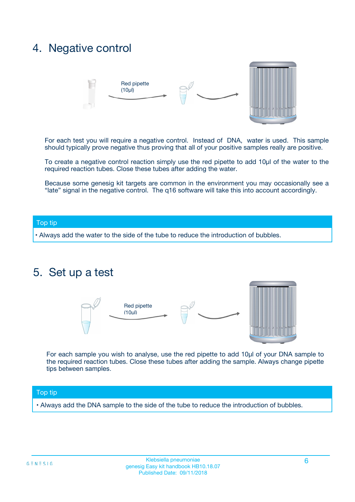## 4. Negative control



For each test you will require a negative control. Instead of DNA, water is used. This sample should typically prove negative thus proving that all of your positive samples really are positive.

To create a negative control reaction simply use the red pipette to add 10µl of the water to the required reaction tubes. Close these tubes after adding the water.

Because some genesig kit targets are common in the environment you may occasionally see a "late" signal in the negative control. The q16 software will take this into account accordingly.

#### Top tip

**•** Always add the water to the side of the tube to reduce the introduction of bubbles.

### 5. Set up a test



For each sample you wish to analyse, use the red pipette to add 10µl of your DNA sample to the required reaction tubes. Close these tubes after adding the sample. Always change pipette tips between samples.

#### Top tip

**•** Always add the DNA sample to the side of the tube to reduce the introduction of bubbles.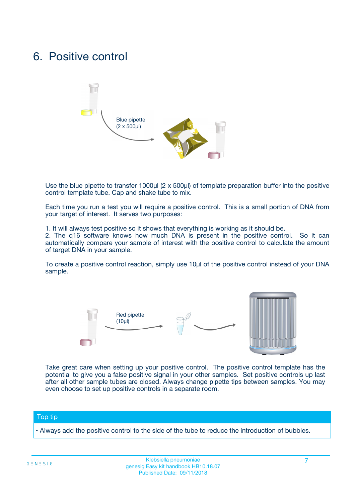## 6. Positive control



Use the blue pipette to transfer 1000µl (2 x 500µl) of template preparation buffer into the positive control template tube. Cap and shake tube to mix.

Each time you run a test you will require a positive control. This is a small portion of DNA from your target of interest. It serves two purposes:

1. It will always test positive so it shows that everything is working as it should be.

2. The q16 software knows how much DNA is present in the positive control. So it can automatically compare your sample of interest with the positive control to calculate the amount of target DNA in your sample.

To create a positive control reaction, simply use 10µl of the positive control instead of your DNA sample.



Take great care when setting up your positive control. The positive control template has the potential to give you a false positive signal in your other samples. Set positive controls up last after all other sample tubes are closed. Always change pipette tips between samples. You may even choose to set up positive controls in a separate room.

#### Top tip

**•** Always add the positive control to the side of the tube to reduce the introduction of bubbles.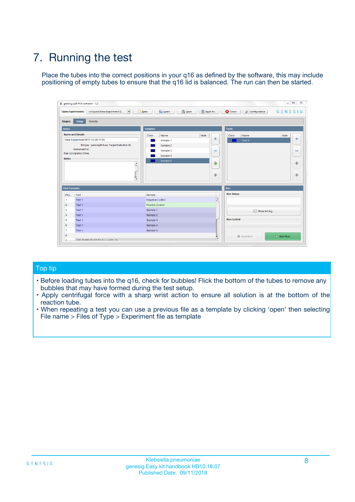# 7. Running the test

Place the tubes into the correct positions in your q16 as defined by the software, this may include positioning of empty tubes to ensure that the q16 lid is balanced. The run can then be started.

| genesig q16 PCR software - 1.2                                               |                                     | $\Box$                                                                                  |
|------------------------------------------------------------------------------|-------------------------------------|-----------------------------------------------------------------------------------------|
| Unsaved (New Experiment 2<br>$\vert \cdot \vert$<br><b>Open Experiments:</b> | <b>D</b> Open<br>Save<br>$\Box$ New | Save As<br><b>C</b> Close<br>$G \equiv N \equiv S \mid G$<br><b>&amp; Configuration</b> |
| Setup<br><b>Results</b><br><b>Stages:</b>                                    |                                     |                                                                                         |
| <b>Notes</b>                                                                 | Samples                             | <b>Tests</b>                                                                            |
| <b>Name and Details</b>                                                      | Color<br>Name                       | Note<br>Color<br>Note<br>Name                                                           |
| New Experiment 2017-10-26 11:06                                              | Sample 1                            | ع<br>条<br>Test 1                                                                        |
| Kit type: genesig® Easy Target Detection kit                                 | Sample 2                            |                                                                                         |
| Instrument Id.:                                                              | Sample 3                            | $\qquad \qquad \blacksquare$<br>$\qquad \qquad \blacksquare$                            |
| Run Completion Time:                                                         | Sample 4                            |                                                                                         |
| <b>Notes</b>                                                                 | Sample 5<br>A<br>v                  | $\triangle$<br>4<br>$\oplus$<br>₩                                                       |
| <b>Well Contents</b>                                                         |                                     | <b>Run</b>                                                                              |
| Pos.<br>Test                                                                 | Sample                              | <b>Run Status</b>                                                                       |
| Test 1<br>-1                                                                 | <b>Negative Control</b>             | $\blacktriangle$                                                                        |
| $\overline{2}$<br>Test 1                                                     | <b>Positive Control</b>             |                                                                                         |
| $\overline{\mathbf{3}}$<br>Test 1                                            | Sample 1                            | Show full log                                                                           |
| Test 1<br>$\overline{4}$                                                     | Sample 2                            |                                                                                         |
| 5<br>Test 1                                                                  | Sample 3                            | <b>Run Control</b>                                                                      |
| 6<br>Test 1                                                                  | Sample 4                            |                                                                                         |
| $\overline{7}$<br>Test 1                                                     | Sample 5                            |                                                                                         |
| 8                                                                            |                                     | $\triangleright$ Start Run<br>Abort Run                                                 |
| <b>JOD FURTY TUDE TO BUILDED IN</b>                                          |                                     | $\overline{\mathbf{v}}$                                                                 |

#### Top tip

- Before loading tubes into the q16, check for bubbles! Flick the bottom of the tubes to remove any bubbles that may have formed during the test setup.
- Apply centrifugal force with a sharp wrist action to ensure all solution is at the bottom of the reaction tube.
- When repeating a test you can use a previous file as a template by clicking 'open' then selecting File name > Files of Type > Experiment file as template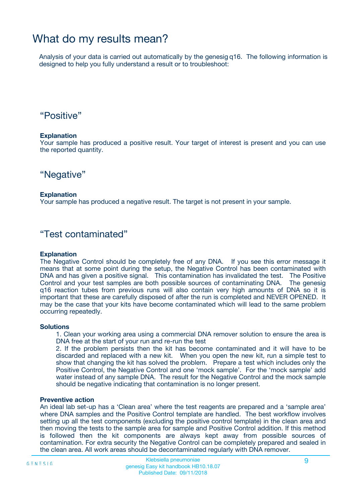## What do my results mean?

Analysis of your data is carried out automatically by the genesig q16. The following information is designed to help you fully understand a result or to troubleshoot:

### "Positive"

#### **Explanation**

Your sample has produced a positive result. Your target of interest is present and you can use the reported quantity.

"Negative"

#### **Explanation**

Your sample has produced a negative result. The target is not present in your sample.

### "Test contaminated"

#### **Explanation**

The Negative Control should be completely free of any DNA. If you see this error message it means that at some point during the setup, the Negative Control has been contaminated with DNA and has given a positive signal. This contamination has invalidated the test. The Positive Control and your test samples are both possible sources of contaminating DNA. The genesig q16 reaction tubes from previous runs will also contain very high amounts of DNA so it is important that these are carefully disposed of after the run is completed and NEVER OPENED. It may be the case that your kits have become contaminated which will lead to the same problem occurring repeatedly.

#### **Solutions**

1. Clean your working area using a commercial DNA remover solution to ensure the area is DNA free at the start of your run and re-run the test

2. If the problem persists then the kit has become contaminated and it will have to be discarded and replaced with a new kit. When you open the new kit, run a simple test to show that changing the kit has solved the problem. Prepare a test which includes only the Positive Control, the Negative Control and one 'mock sample'. For the 'mock sample' add water instead of any sample DNA. The result for the Negative Control and the mock sample should be negative indicating that contamination is no longer present.

#### **Preventive action**

An ideal lab set-up has a 'Clean area' where the test reagents are prepared and a 'sample area' where DNA samples and the Positive Control template are handled. The best workflow involves setting up all the test components (excluding the positive control template) in the clean area and then moving the tests to the sample area for sample and Positive Control addition. If this method is followed then the kit components are always kept away from possible sources of contamination. For extra security the Negative Control can be completely prepared and sealed in the clean area. All work areas should be decontaminated regularly with DNA remover.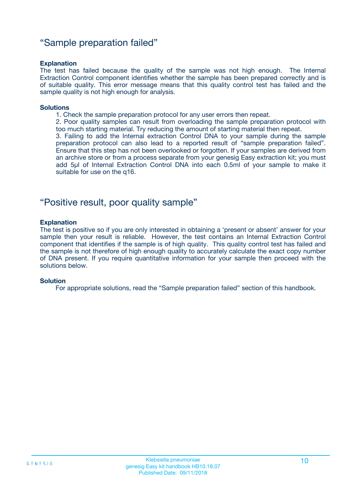### "Sample preparation failed"

#### **Explanation**

The test has failed because the quality of the sample was not high enough. The Internal Extraction Control component identifies whether the sample has been prepared correctly and is of suitable quality. This error message means that this quality control test has failed and the sample quality is not high enough for analysis.

#### **Solutions**

1. Check the sample preparation protocol for any user errors then repeat.

2. Poor quality samples can result from overloading the sample preparation protocol with too much starting material. Try reducing the amount of starting material then repeat.

3. Failing to add the Internal extraction Control DNA to your sample during the sample preparation protocol can also lead to a reported result of "sample preparation failed". Ensure that this step has not been overlooked or forgotten. If your samples are derived from an archive store or from a process separate from your genesig Easy extraction kit; you must add 5µl of Internal Extraction Control DNA into each 0.5ml of your sample to make it suitable for use on the q16.

### "Positive result, poor quality sample"

#### **Explanation**

The test is positive so if you are only interested in obtaining a 'present or absent' answer for your sample then your result is reliable. However, the test contains an Internal Extraction Control component that identifies if the sample is of high quality. This quality control test has failed and the sample is not therefore of high enough quality to accurately calculate the exact copy number of DNA present. If you require quantitative information for your sample then proceed with the solutions below.

#### **Solution**

For appropriate solutions, read the "Sample preparation failed" section of this handbook.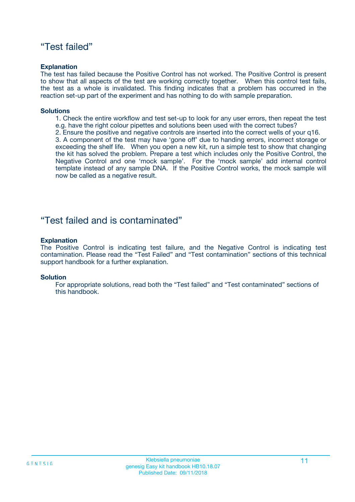### "Test failed"

#### **Explanation**

The test has failed because the Positive Control has not worked. The Positive Control is present to show that all aspects of the test are working correctly together. When this control test fails, the test as a whole is invalidated. This finding indicates that a problem has occurred in the reaction set-up part of the experiment and has nothing to do with sample preparation.

#### **Solutions**

- 1. Check the entire workflow and test set-up to look for any user errors, then repeat the test e.g. have the right colour pipettes and solutions been used with the correct tubes?
- 2. Ensure the positive and negative controls are inserted into the correct wells of your q16.

3. A component of the test may have 'gone off' due to handing errors, incorrect storage or exceeding the shelf life. When you open a new kit, run a simple test to show that changing the kit has solved the problem. Prepare a test which includes only the Positive Control, the Negative Control and one 'mock sample'. For the 'mock sample' add internal control template instead of any sample DNA. If the Positive Control works, the mock sample will now be called as a negative result.

### "Test failed and is contaminated"

#### **Explanation**

The Positive Control is indicating test failure, and the Negative Control is indicating test contamination. Please read the "Test Failed" and "Test contamination" sections of this technical support handbook for a further explanation.

#### **Solution**

For appropriate solutions, read both the "Test failed" and "Test contaminated" sections of this handbook.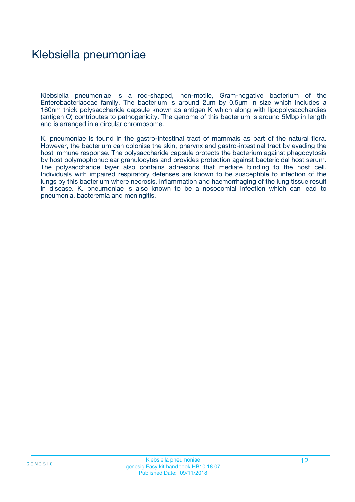## Klebsiella pneumoniae

Klebsiella pneumoniae is a rod-shaped, non-motile, Gram-negative bacterium of the Enterobacteriaceae family. The bacterium is around 2µm by 0.5µm in size which includes a 160nm thick polysaccharide capsule known as antigen K which along with lipopolysacchardies (antigen O) contributes to pathogenicity. The genome of this bacterium is around 5Mbp in length and is arranged in a circular chromosome.

K. pneumoniae is found in the gastro-intestinal tract of mammals as part of the natural flora. However, the bacterium can colonise the skin, pharynx and gastro-intestinal tract by evading the host immune response. The polysaccharide capsule protects the bacterium against phagocytosis by host polymophonuclear granulocytes and provides protection against bactericidal host serum. The polysaccharide layer also contains adhesions that mediate binding to the host cell. Individuals with impaired respiratory defenses are known to be susceptible to infection of the lungs by this bacterium where necrosis, inflammation and haemorrhaging of the lung tissue result in disease. K. pneumoniae is also known to be a nosocomial infection which can lead to pneumonia, bacteremia and meningitis.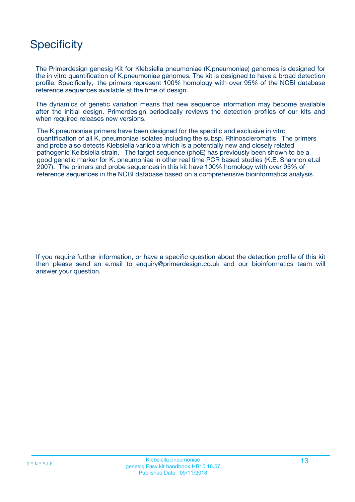# **Specificity**

The Primerdesign genesig Kit for Klebsiella pneumoniae (K.pneumoniae) genomes is designed for the in vitro quantification of K.pneumoniae genomes. The kit is designed to have a broad detection profile. Specifically, the primers represent 100% homology with over 95% of the NCBI database reference sequences available at the time of design.

The dynamics of genetic variation means that new sequence information may become available after the initial design. Primerdesign periodically reviews the detection profiles of our kits and when required releases new versions.

The K.pneumoniae primers have been designed for the specific and exclusive in vitro quantification of all K. pneumoniae isolates including the subsp. Rhinoscleromatis. The primers and probe also detects Klebsiella variicola which is a potentially new and closely related pathogenic Kelbsiella strain. The target sequence (phoE) has previously been shown to be a good genetic marker for K. pneumoniae in other real time PCR based studies (K.E. Shannon et.al 2007). The primers and probe sequences in this kit have 100% homology with over 95% of reference sequences in the NCBI database based on a comprehensive bioinformatics analysis.

If you require further information, or have a specific question about the detection profile of this kit then please send an e.mail to enquiry@primerdesign.co.uk and our bioinformatics team will answer your question.